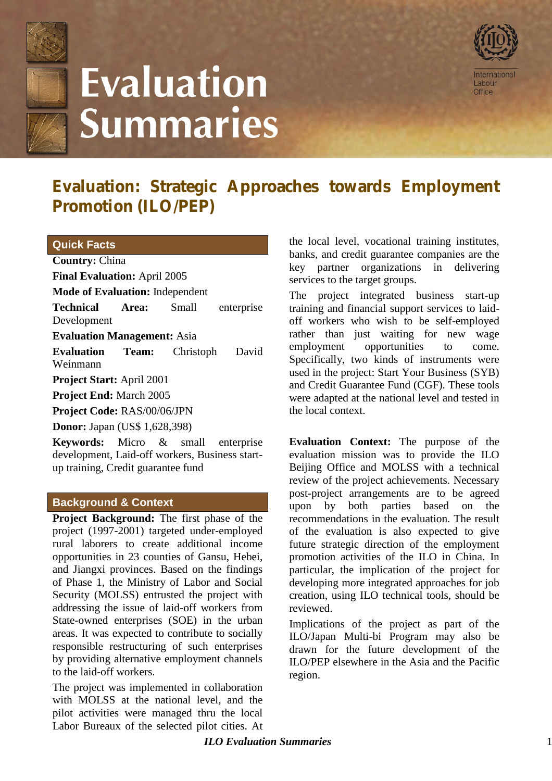

# **Evaluation Summaries**



# **Evaluation: Strategic Approaches towards Employment Promotion (ILO/PEP)**

#### **Quick Facts**

**Country:** China

**Final Evaluation:** April 2005

**Mode of Evaluation:** Independent

**Technical Area:** Small enterprise Development

**Evaluation Management:** Asia

**Evaluation Team:** Christoph David Weinmann

**Project Start:** April 2001

**Project End:** March 2005

**Project Code:** RAS/00/06/JPN

**Donor:** Japan (US\$ 1,628,398)

**Keywords:** Micro & small enterprise development, Laid-off workers, Business startup training, Credit guarantee fund

### **Background & Context**

**Project Background:** The first phase of the project (1997-2001) targeted under-employed rural laborers to create additional income opportunities in 23 counties of Gansu, Hebei, and Jiangxi provinces. Based on the findings of Phase 1, the Ministry of Labor and Social Security (MOLSS) entrusted the project with addressing the issue of laid-off workers from State-owned enterprises (SOE) in the urban areas. It was expected to contribute to socially responsible restructuring of such enterprises by providing alternative employment channels to the laid-off workers.

The project was implemented in collaboration with MOLSS at the national level, and the pilot activities were managed thru the local Labor Bureaux of the selected pilot cities. At the local level, vocational training institutes, banks, and credit guarantee companies are the key partner organizations in delivering services to the target groups.

The project integrated business start-up training and financial support services to laidoff workers who wish to be self-employed rather than just waiting for new wage employment opportunities to come. Specifically, two kinds of instruments were used in the project: Start Your Business (SYB) and Credit Guarantee Fund (CGF). These tools were adapted at the national level and tested in the local context.

**Evaluation Context:** The purpose of the evaluation mission was to provide the ILO Beijing Office and MOLSS with a technical review of the project achievements. Necessary post-project arrangements are to be agreed upon by both parties based on the recommendations in the evaluation. The result of the evaluation is also expected to give future strategic direction of the employment promotion activities of the ILO in China. In particular, the implication of the project for developing more integrated approaches for iob creation, using ILO technical tools, should be reviewed.

Implications of the project as part of the ILO/Japan Multi-bi Program may also be drawn for the future development of the ILO/PEP elsewhere in the Asia and the Pacific region.